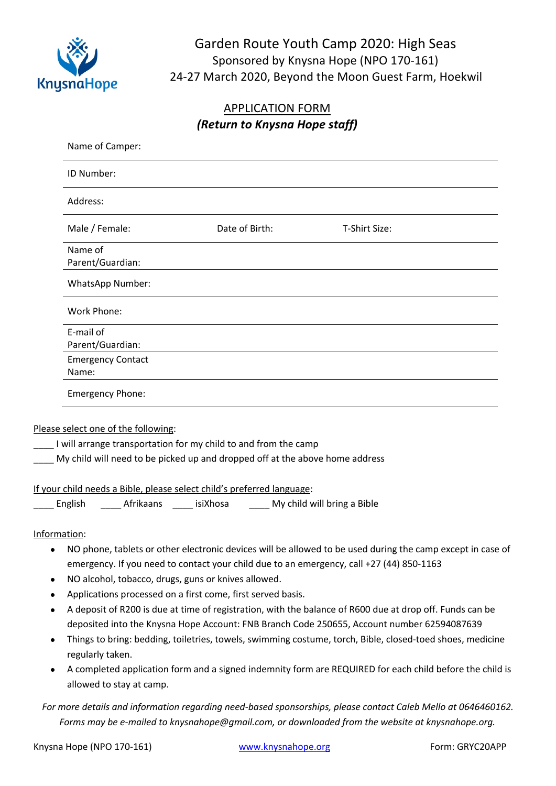

# Garden Route Youth Camp 2020: High Seas Sponsored by Knysna Hope (NPO 170-161) 24-27 March 2020, Beyond the Moon Guest Farm, Hoekwil

### APPLICATION FORM *(Return to Knysna Hope staff)*

|                                                                  | Name of Camper:                                                                                                                                                                                                                                                |                |                                                                                                                                                                                                                                                                                                                                                                                                                                                                                                                                               |
|------------------------------------------------------------------|----------------------------------------------------------------------------------------------------------------------------------------------------------------------------------------------------------------------------------------------------------------|----------------|-----------------------------------------------------------------------------------------------------------------------------------------------------------------------------------------------------------------------------------------------------------------------------------------------------------------------------------------------------------------------------------------------------------------------------------------------------------------------------------------------------------------------------------------------|
|                                                                  | ID Number:                                                                                                                                                                                                                                                     |                |                                                                                                                                                                                                                                                                                                                                                                                                                                                                                                                                               |
|                                                                  | Address:                                                                                                                                                                                                                                                       |                |                                                                                                                                                                                                                                                                                                                                                                                                                                                                                                                                               |
|                                                                  | Male / Female:                                                                                                                                                                                                                                                 | Date of Birth: | T-Shirt Size:                                                                                                                                                                                                                                                                                                                                                                                                                                                                                                                                 |
|                                                                  | Name of<br>Parent/Guardian:                                                                                                                                                                                                                                    |                |                                                                                                                                                                                                                                                                                                                                                                                                                                                                                                                                               |
|                                                                  | WhatsApp Number:                                                                                                                                                                                                                                               |                |                                                                                                                                                                                                                                                                                                                                                                                                                                                                                                                                               |
|                                                                  | Work Phone:                                                                                                                                                                                                                                                    |                |                                                                                                                                                                                                                                                                                                                                                                                                                                                                                                                                               |
|                                                                  | E-mail of<br>Parent/Guardian:                                                                                                                                                                                                                                  |                |                                                                                                                                                                                                                                                                                                                                                                                                                                                                                                                                               |
|                                                                  | <b>Emergency Contact</b><br>Name:                                                                                                                                                                                                                              |                |                                                                                                                                                                                                                                                                                                                                                                                                                                                                                                                                               |
|                                                                  | <b>Emergency Phone:</b>                                                                                                                                                                                                                                        |                |                                                                                                                                                                                                                                                                                                                                                                                                                                                                                                                                               |
|                                                                  | Please select one of the following:<br>I will arrange transportation for my child to and from the camp<br>My child will need to be picked up and dropped off at the above home address                                                                         |                |                                                                                                                                                                                                                                                                                                                                                                                                                                                                                                                                               |
|                                                                  | If your child needs a Bible, please select child's preferred language:<br>English _______ Afrikaans _______ isiXhosa _______ My child will bring a Bible                                                                                                       |                |                                                                                                                                                                                                                                                                                                                                                                                                                                                                                                                                               |
| Information:<br>$\bullet$<br>$\bullet$<br>$\bullet$<br>$\bullet$ | emergency. If you need to contact your child due to an emergency, call +27 (44) 850-1163<br>NO alcohol, tobacco, drugs, guns or knives allowed.<br>Applications processed on a first come, first served basis.<br>regularly taken.<br>allowed to stay at camp. |                | NO phone, tablets or other electronic devices will be allowed to be used during the camp except in case of<br>A deposit of R200 is due at time of registration, with the balance of R600 due at drop off. Funds can be<br>deposited into the Knysna Hope Account: FNB Branch Code 250655, Account number 62594087639<br>Things to bring: bedding, toiletries, towels, swimming costume, torch, Bible, closed-toed shoes, medicine<br>A completed application form and a signed indemnity form are REQUIRED for each child before the child is |

*For more details and information regarding need-based sponsorships, please contact Caleb Mello at 0646460162. Forms may be e-mailed to knysnahope@gmail.com, or downloaded from the website at knysnahope.org.*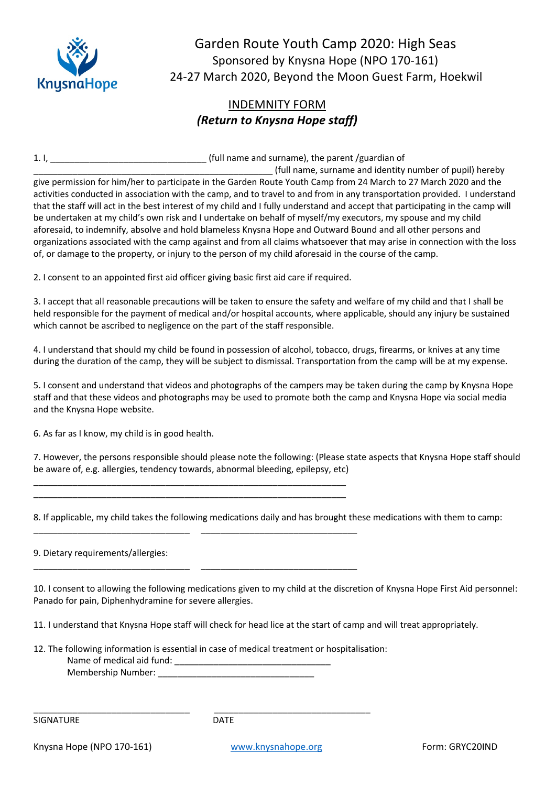

Garden Route Youth Camp 2020: High Seas Sponsored by Knysna Hope (NPO 170-161) 24-27 March 2020, Beyond the Moon Guest Farm, Hoekwil

## INDEMNITY FORM *(Return to Knysna Hope staff)*

1. I, \_\_\_\_\_\_\_\_\_\_\_\_\_\_\_\_\_\_\_\_\_\_\_\_\_\_\_\_\_\_\_\_ (full name and surname), the parent /guardian of

\_\_\_\_\_\_\_\_\_\_\_\_\_\_\_\_\_\_\_\_\_\_\_\_\_\_\_\_\_\_\_\_\_\_\_\_\_\_\_\_\_\_\_\_\_\_\_\_\_ (full name, surname and identity number of pupil) hereby give permission for him/her to participate in the Garden Route Youth Camp from 24 March to 27 March 2020 and the activities conducted in association with the camp, and to travel to and from in any transportation provided. I understand that the staff will act in the best interest of my child and I fully understand and accept that participating in the camp will be undertaken at my child's own risk and I undertake on behalf of myself/my executors, my spouse and my child aforesaid, to indemnify, absolve and hold blameless Knysna Hope and Outward Bound and all other persons and organizations associated with the camp against and from all claims whatsoever that may arise in connection with the loss of, or damage to the property, or injury to the person of my child aforesaid in the course of the camp.

2. I consent to an appointed first aid officer giving basic first aid care if required.

\_\_\_\_\_\_\_\_\_\_\_\_\_\_\_\_\_\_\_\_\_\_\_\_\_\_\_\_\_\_\_\_\_\_\_\_\_\_\_\_\_\_\_\_\_\_\_\_\_\_\_\_\_\_\_\_\_\_\_\_\_\_\_\_ \_\_\_\_\_\_\_\_\_\_\_\_\_\_\_\_\_\_\_\_\_\_\_\_\_\_\_\_\_\_\_\_\_\_\_\_\_\_\_\_\_\_\_\_\_\_\_\_\_\_\_\_\_\_\_\_\_\_\_\_\_\_\_\_

\_\_\_\_\_\_\_\_\_\_\_\_\_\_\_\_\_\_\_\_\_\_\_\_\_\_\_\_\_\_\_\_ \_\_\_\_\_\_\_\_\_\_\_\_\_\_\_\_\_\_\_\_\_\_\_\_\_\_\_\_\_\_\_\_

\_\_\_\_\_\_\_\_\_\_\_\_\_\_\_\_\_\_\_\_\_\_\_\_\_\_\_\_\_\_\_\_ \_\_\_\_\_\_\_\_\_\_\_\_\_\_\_\_\_\_\_\_\_\_\_\_\_\_\_\_\_\_\_\_

3. I accept that all reasonable precautions will be taken to ensure the safety and welfare of my child and that I shall be held responsible for the payment of medical and/or hospital accounts, where applicable, should any injury be sustained which cannot be ascribed to negligence on the part of the staff responsible.

4. I understand that should my child be found in possession of alcohol, tobacco, drugs, firearms, or knives at any time during the duration of the camp, they will be subject to dismissal. Transportation from the camp will be at my expense.

5. I consent and understand that videos and photographs of the campers may be taken during the camp by Knysna Hope staff and that these videos and photographs may be used to promote both the camp and Knysna Hope via social media and the Knysna Hope website.

6. As far as I know, my child is in good health.

7. However, the persons responsible should please note the following: (Please state aspects that Knysna Hope staff should be aware of, e.g. allergies, tendency towards, abnormal bleeding, epilepsy, etc)

8. If applicable, my child takes the following medications daily and has brought these medications with them to camp:

9. Dietary requirements/allergies:

10. I consent to allowing the following medications given to my child at the discretion of Knysna Hope First Aid personnel: Panado for pain, Diphenhydramine for severe allergies.

11. I understand that Knysna Hope staff will check for head lice at the start of camp and will treat appropriately.

12. The following information is essential in case of medical treatment or hospitalisation: Name of medical aid fund: \_\_\_\_\_\_\_\_\_\_\_\_\_\_\_\_\_\_\_\_\_\_\_\_\_\_\_\_\_\_\_\_ Membership Number: \_\_\_\_\_\_\_\_\_\_\_\_\_\_\_\_\_\_\_\_\_\_\_\_\_\_\_\_\_\_\_\_

\_\_\_\_\_\_\_\_\_\_\_\_\_\_\_\_\_\_\_\_\_\_\_\_\_\_\_\_\_\_\_\_ \_\_\_\_\_\_\_\_\_\_\_\_\_\_\_\_\_\_\_\_\_\_\_\_\_\_\_\_\_\_\_\_

SIGNATURE DATE